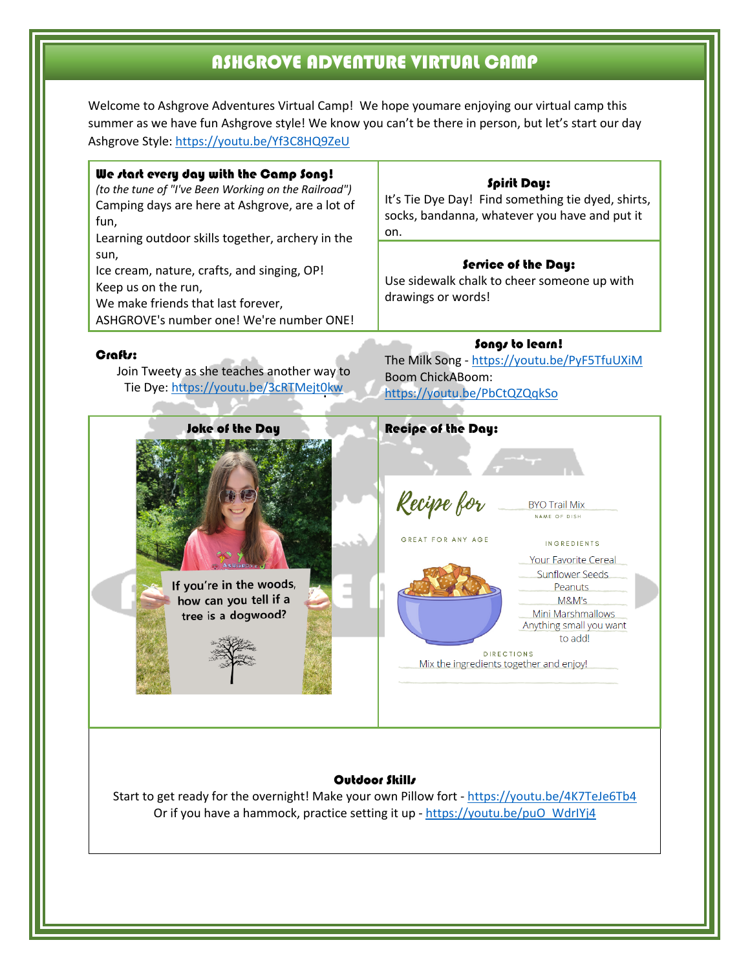## ASHGROVE ADVENTURE VIRTUAL CAMP

Welcome to Ashgrove Adventures Virtual Camp! We hope youmare enjoying our virtual camp this summer as we have fun Ashgrove style! We know you can't be there in person, but let's start our day Ashgrove Style: https://youtu.be/Yf3C8HQ9ZeU

| We <i>s</i> tart every day with the Camp Song!<br>(to the tune of "I've Been Working on the Railroad")<br>Camping days are here at Ashgrove, are a lot of<br>fun,<br>Learning outdoor skills together, archery in the | Spirit Day:<br>It's Tie Dye Day! Find something tie dyed, shirts,<br>socks, bandanna, whatever you have and put it<br>on. |
|-----------------------------------------------------------------------------------------------------------------------------------------------------------------------------------------------------------------------|---------------------------------------------------------------------------------------------------------------------------|
| sun,<br>Ice cream, nature, crafts, and singing, OP!<br>Keep us on the run,<br>We make friends that last forever,<br>ASHGROVE's number one! We're number ONE!                                                          | Service of the Day:<br>Use sidewalk chalk to cheer someone up with<br>drawings or words!                                  |
| Crafts:<br>Join Tweety as she teaches another way to<br>Tie Dye: https://youtu.be/3cRTMejt0kw                                                                                                                         | Songs to learn!<br>The Milk Song - https://youtu.be/PyF5TfuUXiM<br>Boom ChickABoom:<br>https://youtu.be/PbCtQZQqkSo       |
| <b>Joke of the Day</b>                                                                                                                                                                                                | <b>Recipe of the Day:</b>                                                                                                 |
|                                                                                                                                                                                                                       | Recipe for<br>BYO Trail Mix<br>NAME OF DISH<br>GREAT FOR ANY AGE<br><b>INGREDIENTS</b>                                    |
| If you're in the woods,<br>how can you tell if a<br>tree is a dogwood?                                                                                                                                                | <b>Your Favorite Cereal</b><br><b>Sunflower Seeds</b><br>Peanuts<br>M&M's<br>Mini Marshmallows<br>Anything small you want |

### Outdoor Skills

**DIRECTIONS** Mix the ingredients together and enjoy!

Start to get ready for the overnight! Make your own Pillow fort - https://youtu.be/4K7TeJe6Tb4 Or if you have a hammock, practice setting it up - https://youtu.be/puO\_WdrIYj4